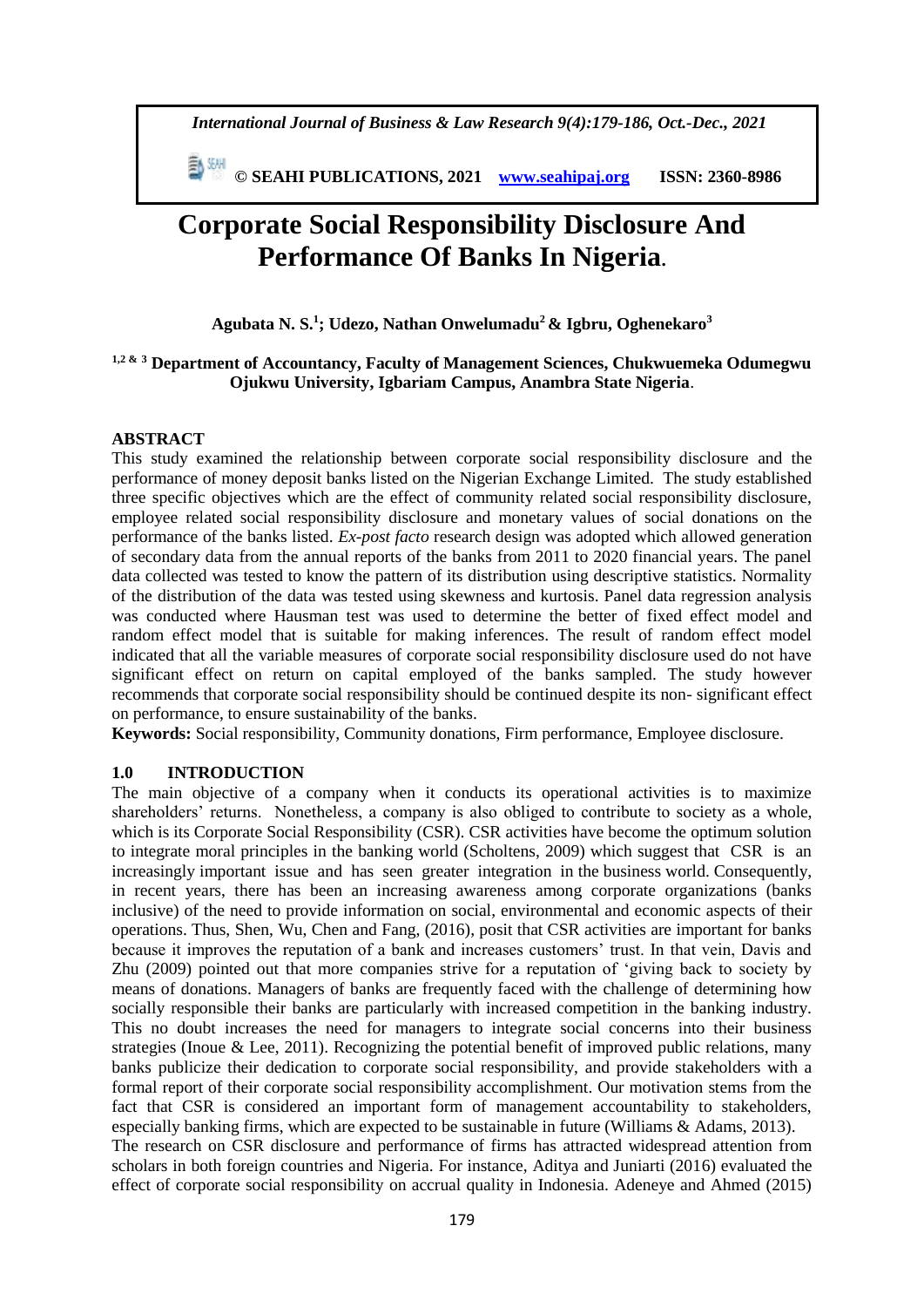*International Journal of Business & Law Research 9(4):179-186, Oct.-Dec., 2021*

 **© SEAHI PUBLICATIONS, 2021 [www.seahipaj.org](http://www.seahipaj.org/) ISSN: 2360-8986**

# **Corporate Social Responsibility Disclosure And Performance Of Banks In Nigeria.**

# **Agubata N. S.<sup>1</sup> ; Udezo, Nathan Onwelumadu<sup>2</sup>& Igbru, Oghenekaro<sup>3</sup>**

# **1,2 & <sup>3</sup> Department of Accountancy, Faculty of Management Sciences, Chukwuemeka Odumegwu Ojukwu University, Igbariam Campus, Anambra State Nigeria**.

# **ABSTRACT**

This study examined the relationship between corporate social responsibility disclosure and the performance of money deposit banks listed on the Nigerian Exchange Limited. The study established three specific objectives which are the effect of community related social responsibility disclosure, employee related social responsibility disclosure and monetary values of social donations on the performance of the banks listed. *Ex-post facto* research design was adopted which allowed generation of secondary data from the annual reports of the banks from 2011 to 2020 financial years. The panel data collected was tested to know the pattern of its distribution using descriptive statistics. Normality of the distribution of the data was tested using skewness and kurtosis. Panel data regression analysis was conducted where Hausman test was used to determine the better of fixed effect model and random effect model that is suitable for making inferences. The result of random effect model indicated that all the variable measures of corporate social responsibility disclosure used do not have significant effect on return on capital employed of the banks sampled. The study however recommends that corporate social responsibility should be continued despite its non- significant effect on performance, to ensure sustainability of the banks.

**Keywords:** Social responsibility, Community donations, Firm performance, Employee disclosure.

# **1.0 INTRODUCTION**

The main objective of a company when it conducts its operational activities is to maximize shareholders' returns. Nonetheless, a company is also obliged to contribute to society as a whole, which is its Corporate Social Responsibility (CSR). CSR activities have become the optimum solution to integrate moral principles in the banking world (Scholtens, 2009) which suggest that CSR is an increasingly important issue and has seen greater integration in the business world. Consequently, in recent years, there has been an increasing awareness among corporate organizations (banks inclusive) of the need to provide information on social, environmental and economic aspects of their operations. Thus, Shen, Wu, Chen and Fang, (2016), posit that CSR activities are important for banks because it improves the reputation of a bank and increases customers' trust. In that vein, Davis and Zhu (2009) pointed out that more companies strive for a reputation of 'giving back to society by means of donations. Managers of banks are frequently faced with the challenge of determining how socially responsible their banks are particularly with increased competition in the banking industry. This no doubt increases the need for managers to integrate social concerns into their business strategies (Inoue & Lee, 2011). Recognizing the potential benefit of improved public relations, many banks publicize their dedication to corporate social responsibility, and provide stakeholders with a formal report of their corporate social responsibility accomplishment. Our motivation stems from the fact that CSR is considered an important form of management accountability to stakeholders, especially banking firms, which are expected to be sustainable in future (Williams & Adams, 2013). The research on CSR disclosure and performance of firms has attracted widespread attention from scholars in both foreign countries and Nigeria. For instance, Aditya and Juniarti (2016) evaluated the effect of corporate social responsibility on accrual quality in Indonesia. Adeneye and Ahmed (2015)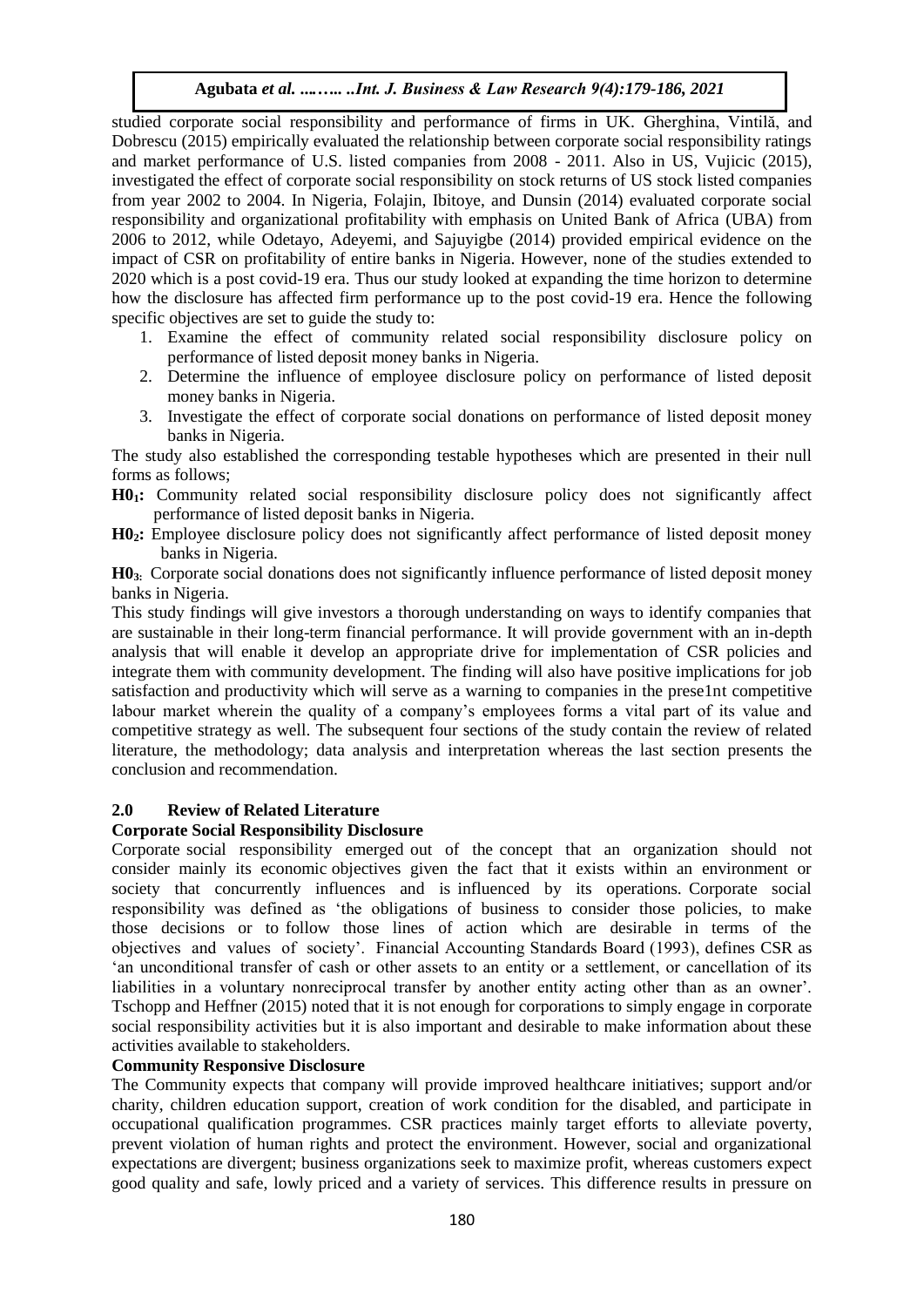studied corporate social responsibility and performance of firms in UK. Gherghina, Vintilă, and Dobrescu (2015) empirically evaluated the relationship between corporate social responsibility ratings and market performance of U.S. listed companies from 2008 - 2011. Also in US, Vujicic (2015), investigated the effect of corporate social responsibility on stock returns of US stock listed companies from year 2002 to 2004. In Nigeria, Folajin, Ibitoye, and Dunsin (2014) evaluated corporate social responsibility and organizational profitability with emphasis on United Bank of Africa (UBA) from 2006 to 2012, while Odetayo, Adeyemi, and Sajuyigbe (2014) provided empirical evidence on the impact of CSR on profitability of entire banks in Nigeria. However, none of the studies extended to 2020 which is a post covid-19 era. Thus our study looked at expanding the time horizon to determine how the disclosure has affected firm performance up to the post covid-19 era. Hence the following specific objectives are set to guide the study to:

- 1. Examine the effect of community related social responsibility disclosure policy on performance of listed deposit money banks in Nigeria.
- 2. Determine the influence of employee disclosure policy on performance of listed deposit money banks in Nigeria.
- 3. Investigate the effect of corporate social donations on performance of listed deposit money banks in Nigeria.

The study also established the corresponding testable hypotheses which are presented in their null forms as follows;

- **H01:** Community related social responsibility disclosure policy does not significantly affect performance of listed deposit banks in Nigeria.
- **H02:** Employee disclosure policy does not significantly affect performance of listed deposit money banks in Nigeria.

**H03:** Corporate social donations does not significantly influence performance of listed deposit money banks in Nigeria.

This study findings will give investors a thorough understanding on ways to identify companies that are sustainable in their long-term financial performance. It will provide government with an in-depth analysis that will enable it develop an appropriate drive for implementation of CSR policies and integrate them with community development. The finding will also have positive implications for job satisfaction and productivity which will serve as a warning to companies in the prese1nt competitive labour market wherein the quality of a company's employees forms a vital part of its value and competitive strategy as well. The subsequent four sections of the study contain the review of related literature, the methodology; data analysis and interpretation whereas the last section presents the conclusion and recommendation.

# **2.0 Review of Related Literature**

# **Corporate Social Responsibility Disclosure**

Corporate social responsibility emerged out of the concept that an organization should not consider mainly its economic objectives given the fact that it exists within an environment or society that concurrently influences and is influenced by its operations. Corporate social responsibility was defined as 'the obligations of business to consider those policies, to make those decisions or to follow those lines of action which are desirable in terms of the objectives and values of society'. Financial Accounting Standards Board (1993), defines CSR as 'an unconditional transfer of cash or other assets to an entity or a settlement, or cancellation of its liabilities in a voluntary nonreciprocal transfer by another entity acting other than as an owner'. Tschopp and Heffner (2015) noted that it is not enough for corporations to simply engage in corporate social responsibility activities but it is also important and desirable to make information about these activities available to stakeholders.

# **Community Responsive Disclosure**

The Community expects that company will provide improved healthcare initiatives; support and/or charity, children education support, creation of work condition for the disabled, and participate in occupational qualification programmes. CSR practices mainly target efforts to alleviate poverty, prevent violation of human rights and protect the environment. However, social and organizational expectations are divergent; business organizations seek to maximize profit, whereas customers expect good quality and safe, lowly priced and a variety of services. This difference results in pressure on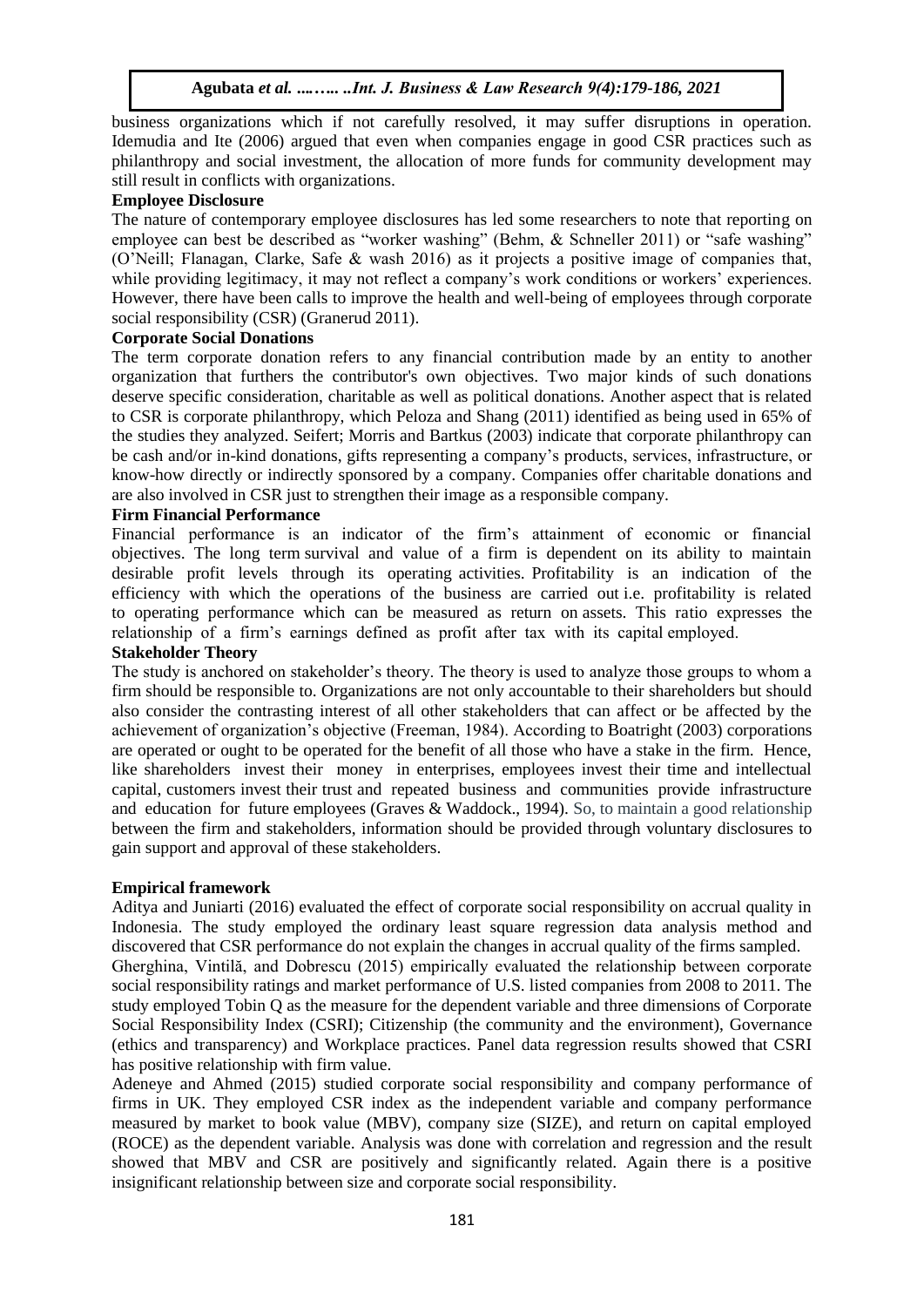business organizations which if not carefully resolved, it may suffer disruptions in operation. Idemudia and Ite (2006) argued that even when companies engage in good CSR practices such as philanthropy and social investment, the allocation of more funds for community development may still result in conflicts with organizations.

# **Employee Disclosure**

The nature of contemporary employee disclosures has led some researchers to note that reporting on employee can best be described as "worker washing" (Behm, & Schneller 2011) or "safe washing" (O'Neill; Flanagan, Clarke, Safe & wash 2016) as it projects a positive image of companies that, while providing legitimacy, it may not reflect a company's work conditions or workers' experiences. However, there have been calls to improve the health and well-being of employees through corporate social responsibility (CSR) (Granerud 2011).

# **Corporate Social Donations**

The term corporate donation refers to any financial contribution made by an entity to another organization that furthers the contributor's own objectives. Two major kinds of such donations deserve specific consideration, charitable as well as political donations. Another aspect that is related to CSR is corporate philanthropy, which Peloza and Shang (2011) identified as being used in 65% of the studies they analyzed. Seifert; Morris and Bartkus (2003) indicate that corporate philanthropy can be cash and/or in-kind donations, gifts representing a company's products, services, infrastructure, or know-how directly or indirectly sponsored by a company. Companies offer charitable donations and are also involved in CSR just to strengthen their image as a responsible company.

# **Firm Financial Performance**

Financial performance is an indicator of the firm's attainment of economic or financial objectives. The long term survival and value of a firm is dependent on its ability to maintain desirable profit levels through its operating activities. Profitability is an indication of the efficiency with which the operations of the business are carried out i.e. profitability is related to operating performance which can be measured as return on assets. This ratio expresses the relationship of a firm's earnings defined as profit after tax with its capital employed.

# **Stakeholder Theory**

The study is anchored on stakeholder's theory. The theory is used to analyze those groups to whom a firm should be responsible to. Organizations are not only accountable to their shareholders but should also consider the contrasting interest of all other stakeholders that can affect or be affected by the achievement of organization's objective (Freeman, 1984). According to Boatright (2003) corporations are operated or ought to be operated for the benefit of all those who have a stake in the firm. Hence, like shareholders invest their money in enterprises, employees invest their time and intellectual capital, customers invest their trust and repeated business and communities provide infrastructure and education for future employees (Graves & Waddock., 1994). So, to maintain a good relationship between the firm and stakeholders, information should be provided through voluntary disclosures to gain support and approval of these stakeholders.

# **Empirical framework**

Aditya and Juniarti (2016) evaluated the effect of corporate social responsibility on accrual quality in Indonesia. The study employed the ordinary least square regression data analysis method and discovered that CSR performance do not explain the changes in accrual quality of the firms sampled.

Gherghina, Vintilă, and Dobrescu (2015) empirically evaluated the relationship between corporate social responsibility ratings and market performance of U.S. listed companies from 2008 to 2011. The study employed Tobin Q as the measure for the dependent variable and three dimensions of Corporate Social Responsibility Index (CSRI); Citizenship (the community and the environment), Governance (ethics and transparency) and Workplace practices. Panel data regression results showed that CSRI has positive relationship with firm value.

Adeneye and Ahmed (2015) studied corporate social responsibility and company performance of firms in UK. They employed CSR index as the independent variable and company performance measured by market to book value (MBV), company size (SIZE), and return on capital employed (ROCE) as the dependent variable. Analysis was done with correlation and regression and the result showed that MBV and CSR are positively and significantly related. Again there is a positive insignificant relationship between size and corporate social responsibility.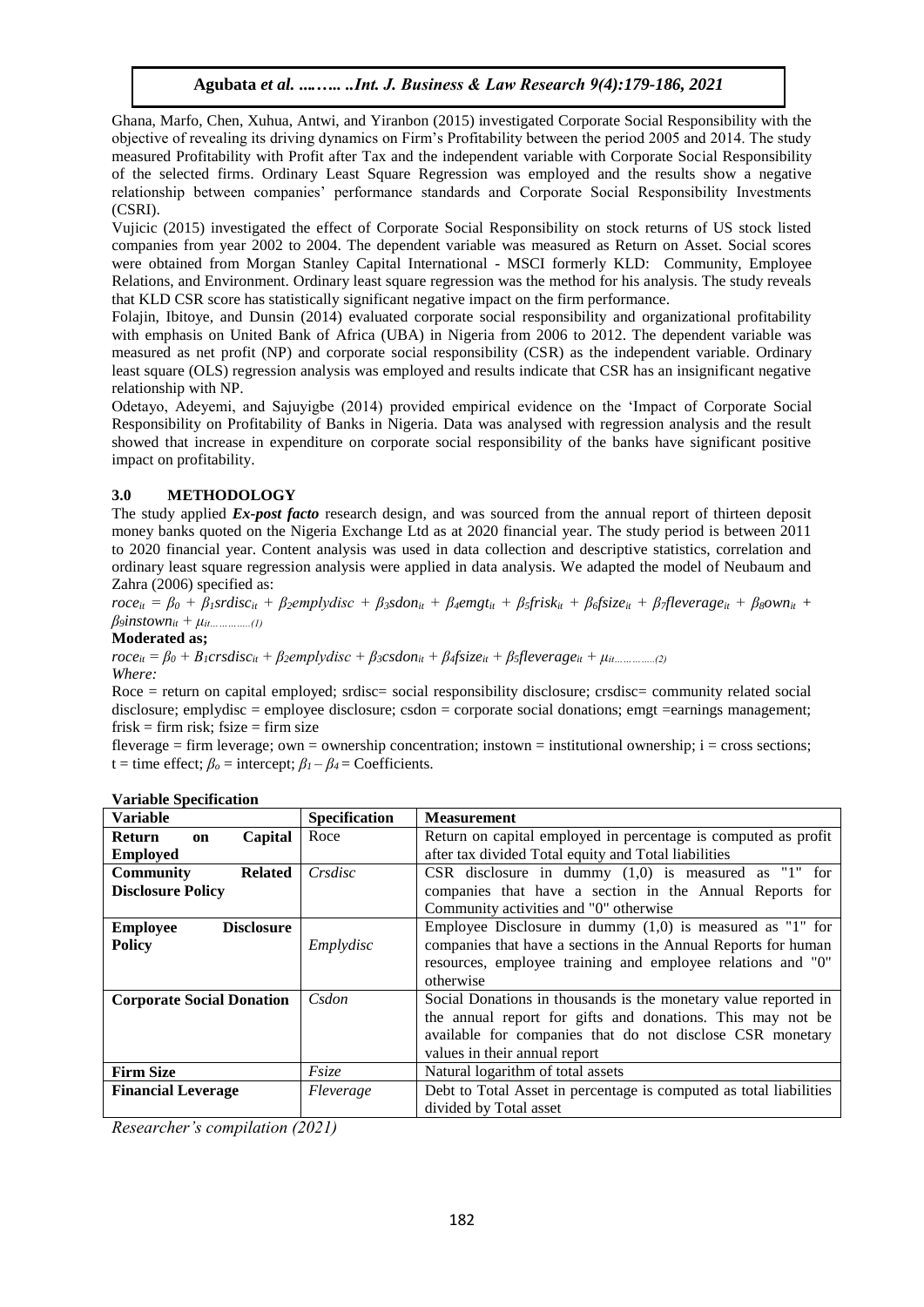Ghana, Marfo, Chen, Xuhua, Antwi, and Yiranbon (2015) investigated Corporate Social Responsibility with the objective of revealing its driving dynamics on Firm's Profitability between the period 2005 and 2014. The study measured Profitability with Profit after Tax and the independent variable with Corporate Social Responsibility of the selected firms. Ordinary Least Square Regression was employed and the results show a negative relationship between companies' performance standards and Corporate Social Responsibility Investments (CSRI).

Vujicic (2015) investigated the effect of Corporate Social Responsibility on stock returns of US stock listed companies from year 2002 to 2004. The dependent variable was measured as Return on Asset. Social scores were obtained from Morgan Stanley Capital International - MSCI formerly KLD: Community, Employee Relations, and Environment. Ordinary least square regression was the method for his analysis. The study reveals that KLD CSR score has statistically significant negative impact on the firm performance.

Folajin, Ibitoye, and Dunsin (2014) evaluated corporate social responsibility and organizational profitability with emphasis on United Bank of Africa (UBA) in Nigeria from 2006 to 2012. The dependent variable was measured as net profit (NP) and corporate social responsibility (CSR) as the independent variable. Ordinary least square (OLS) regression analysis was employed and results indicate that CSR has an insignificant negative relationship with NP.

Odetayo, Adeyemi, and Sajuyigbe (2014) provided empirical evidence on the 'Impact of Corporate Social Responsibility on Profitability of Banks in Nigeria. Data was analysed with regression analysis and the result showed that increase in expenditure on corporate social responsibility of the banks have significant positive impact on profitability.

# **3.0 METHODOLOGY**

The study applied *Ex-post facto* research design, and was sourced from the annual report of thirteen deposit money banks quoted on the Nigeria Exchange Ltd as at 2020 financial year. The study period is between 2011 to 2020 financial year. Content analysis was used in data collection and descriptive statistics, correlation and ordinary least square regression analysis were applied in data analysis. We adapted the model of Neubaum and Zahra (2006) specified as:

 $roce_{it} = \beta_0 + \beta_1 s r \, \text{dist}_{i} + \beta_2 \text{empty disc} + \beta_3 \text{sd}_{i} + \beta_4 \text{emgt}_{i} + \beta_5 \text{first}_{i} + \beta_6 \text{size}_{i} + \beta_7 \text{fleverage}_{i} + \beta_8 \text{own}_{i} +$  $\beta_9$ *instown*<sub>*it*</sub> +  $\mu$ <sub>*it…………...(1)*</sub>

#### **Moderated as;**

 $roce_{it} = \beta_0 + B_1crsdisc_{it} + \beta_2emplydisc + \beta_3csdon_{it} + \beta_4fsize_{it} + \beta_5fleverage_{it} + \mu_{it...}$ *Where:*

Roce = return on capital employed; srdisc= social responsibility disclosure; crsdisc= community related social disclosure; emplydisc = employee disclosure; csdon = corporate social donations; emgt =earnings management;  $f \text{risk} = f \text{irm risk}; f \text{size} = f \text{irm size}$ 

fleverage = firm leverage; own = ownership concentration; instown = institutional ownership;  $i =$  cross sections; t = time effect;  $\beta_0$  = intercept;  $\beta_1 - \beta_4$  = Coefficients.

| <b>Variable</b>                           | <b>Specification</b> | <b>Measurement</b>                                                 |
|-------------------------------------------|----------------------|--------------------------------------------------------------------|
| Capital<br><b>Return</b><br>on            | Roce                 | Return on capital employed in percentage is computed as profit     |
| <b>Employed</b>                           |                      | after tax divided Total equity and Total liabilities               |
| <b>Community</b><br><b>Related</b>        | Crsdisc              | CSR disclosure in dummy $(1,0)$ is measured as "1" for             |
| <b>Disclosure Policy</b>                  |                      | companies that have a section in the Annual Reports for            |
|                                           |                      | Community activities and "0" otherwise                             |
| <b>Disclosure</b><br><b>Employee</b>      |                      | Employee Disclosure in dummy $(1,0)$ is measured as "1" for        |
| <b>Policy</b>                             | Emplydisc            | companies that have a sections in the Annual Reports for human     |
|                                           |                      | resources, employee training and employee relations and "0"        |
|                                           |                      | otherwise                                                          |
| Csdon<br><b>Corporate Social Donation</b> |                      | Social Donations in thousands is the monetary value reported in    |
|                                           |                      | the annual report for gifts and donations. This may not be         |
|                                           |                      | available for companies that do not disclose CSR monetary          |
|                                           |                      | values in their annual report                                      |
| <b>Firm Size</b>                          | Fsize                | Natural logarithm of total assets                                  |
| <b>Financial Leverage</b>                 | Fleverage            | Debt to Total Asset in percentage is computed as total liabilities |
|                                           |                      | divided by Total asset                                             |

#### **Variable Specification**

*Researcher's compilation (2021)*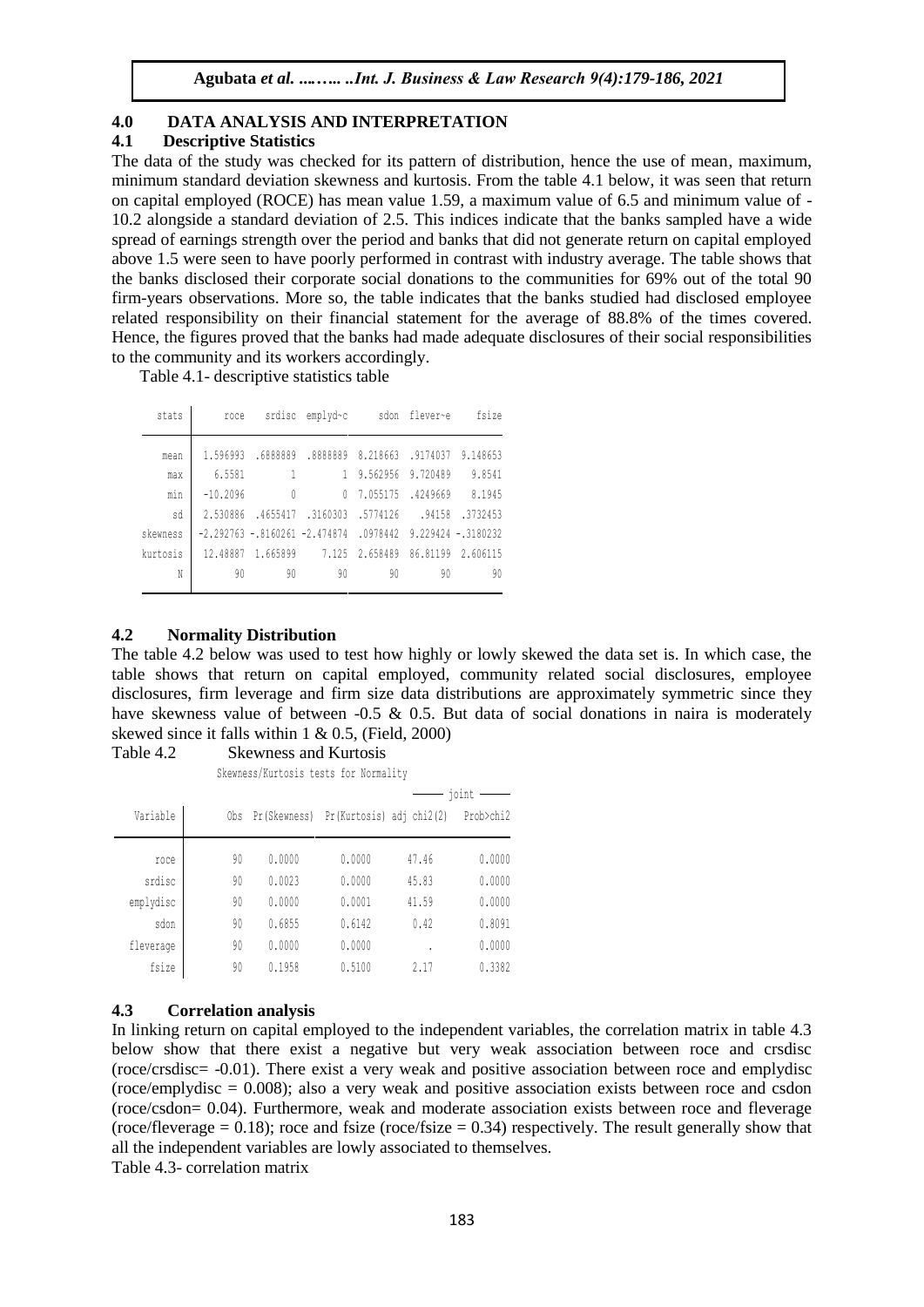# **4.0 DATA ANALYSIS AND INTERPRETATION**

## **4.1 Descriptive Statistics**

The data of the study was checked for its pattern of distribution, hence the use of mean, maximum, minimum standard deviation skewness and kurtosis. From the table 4.1 below, it was seen that return on capital employed (ROCE) has mean value 1.59, a maximum value of 6.5 and minimum value of - 10.2 alongside a standard deviation of 2.5. This indices indicate that the banks sampled have a wide spread of earnings strength over the period and banks that did not generate return on capital employed above 1.5 were seen to have poorly performed in contrast with industry average. The table shows that the banks disclosed their corporate social donations to the communities for 69% out of the total 90 firm-years observations. More so, the table indicates that the banks studied had disclosed employee related responsibility on their financial statement for the average of 88.8% of the times covered. Hence, the figures proved that the banks had made adequate disclosures of their social responsibilities to the community and its workers accordingly.

Table 4.1- descriptive statistics table

| stats    | roce       |          | srdisc emplyd~c                              |                                     | sdon flever~e | fsize                |
|----------|------------|----------|----------------------------------------------|-------------------------------------|---------------|----------------------|
| mean     | 1.596993   | .6888889 |                                              | .8888889 8.218663 .9174037 9.148653 |               |                      |
| max      | 6.5581     | -1       |                                              | 1 9.562956 9.720489                 |               | 9.8541               |
| min      | $-10.2096$ | $\theta$ | 0                                            | 7.055175 .4249669                   |               | 8.1945               |
| sd       | 2.530886   | .4655417 | .3160303                                     | .5774126                            | .94158        | .3732453             |
| skewness |            |          | $-2, 292763 - .8160261 - 2, 474874$ .0978442 |                                     |               | $9.229424 - 3180232$ |
| kurtosis | 12.48887   | 1.665899 |                                              | 7.125 2.658489                      |               | 86.81199 2.606115    |
| N        | 90         | 90       | 90                                           | 90                                  | 90            | 90                   |
|          |            |          |                                              |                                     |               |                      |

# **4.2 Normality Distribution**

The table 4.2 below was used to test how highly or lowly skewed the data set is. In which case, the table shows that return on capital employed, community related social disclosures, employee disclosures, firm leverage and firm size data distributions are approximately symmetric since they have skewness value of between -0.5 & 0.5. But data of social donations in naira is moderately skewed since it falls within 1 & 0.5, (Field, 2000)

| Table 4.2 | <b>Skewness and Kurtosis</b> |  |
|-----------|------------------------------|--|
|           |                              |  |

Skewness/Kurtosis tests for Normality

|           |     |               |                          |       | joint     |
|-----------|-----|---------------|--------------------------|-------|-----------|
| Variable  | Obs | Pr (Skewness) | Pr(Kurtosis) adj chi2(2) |       | Prob>chi2 |
| roce      | 90  | 0.0000        | 0.0000                   | 47.46 | 0.0000    |
| srdisc    | 90  | 0.0023        | 0.0000                   | 45.83 | 0.0000    |
| emplydisc | 90  | 0.0000        | 0.0001                   | 41.59 | 0.0000    |
| sdon      | 90  | 0.6855        | 0.6142                   | 0.42  | 0.8091    |
| fleverage | 90  | 0.0000        | 0.0000                   | ٠     | 0.0000    |
| fsize     | 90  | 0.1958        | 0.5100                   | 2.17  | 0.3382    |

# **4.3 Correlation analysis**

In linking return on capital employed to the independent variables, the correlation matrix in table 4.3 below show that there exist a negative but very weak association between roce and crsdisc (roce/crsdisc= -0.01). There exist a very weak and positive association between roce and emplydisc (roce/emplydisc = 0.008); also a very weak and positive association exists between roce and csdon (roce/csdon= 0.04). Furthermore, weak and moderate association exists between roce and fleverage (roce/fleverage  $= 0.18$ ); roce and fsize (roce/fsize  $= 0.34$ ) respectively. The result generally show that all the independent variables are lowly associated to themselves. Table 4.3- correlation matrix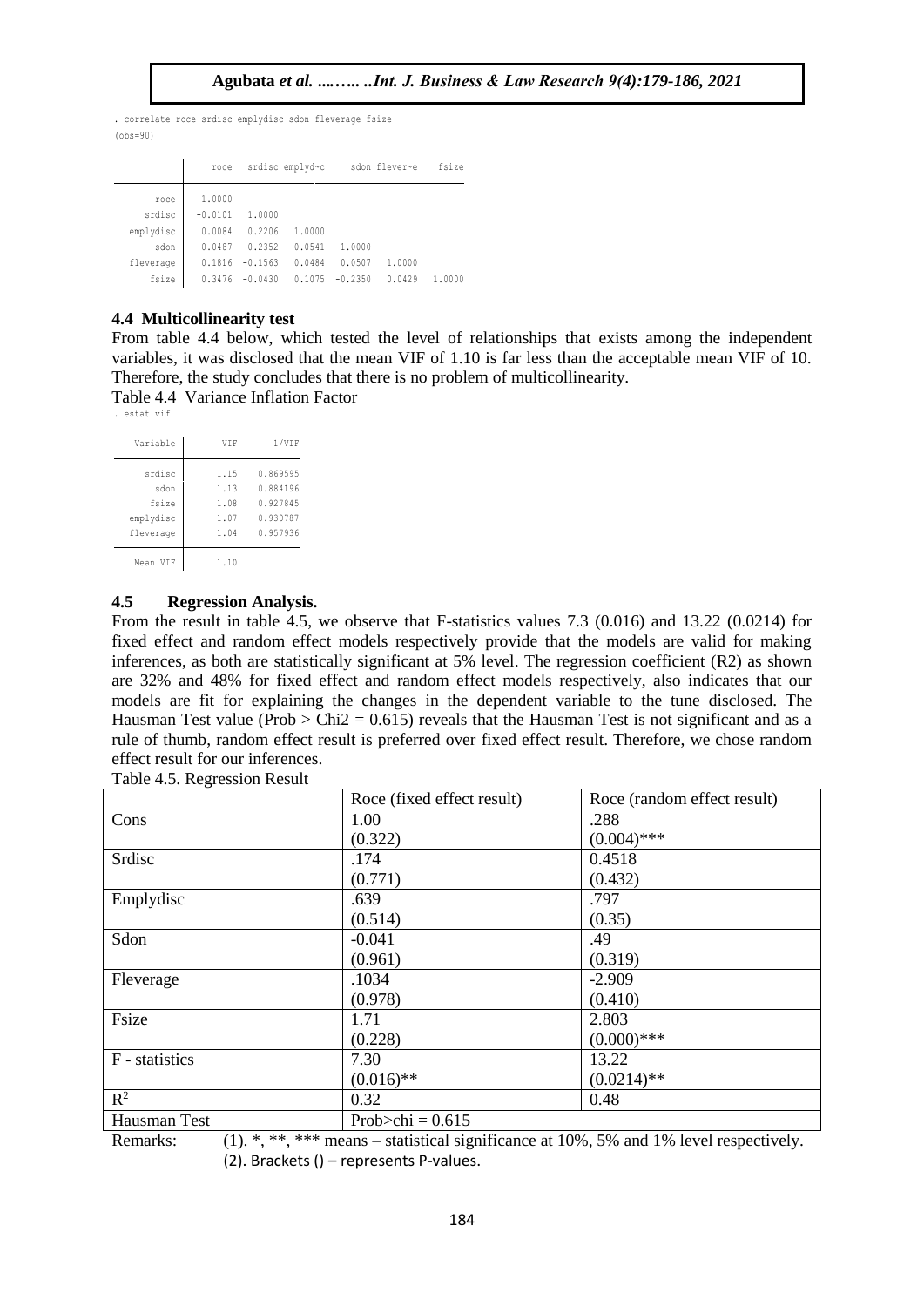$(obs=90)$ . correlate roce srdisc emplydisc sdon fleverage fsize

|                   | roce                |                     | srdisc emplyd~c  |                  | sdon flever~e | fsize  |
|-------------------|---------------------|---------------------|------------------|------------------|---------------|--------|
| roce<br>srdisc    | 1,0000<br>$-0.0101$ | 1.0000              |                  |                  |               |        |
| emplydisc         | 0.0084              | 0.2206              | 1,0000           |                  |               |        |
| sdon<br>fleverage | 0.0487<br>0.1816    | 0.2352<br>$-0.1563$ | 0.0541<br>0.0484 | 1.0000<br>0.0507 | 1,0000        |        |
| fsize             | 0.3476              | $-0.0430$           | 0.1075           | $-0.2350$        | 0.0429        | 1.0000 |

#### **4.4 Multicollinearity test**

From table 4.4 below, which tested the level of relationships that exists among the independent variables, it was disclosed that the mean VIF of 1.10 is far less than the acceptable mean VIF of 10. Therefore, the study concludes that there is no problem of multicollinearity.

Table 4.4 Variance Inflation Factor . estat vif

| Variable  | <b>VTF</b> | 1/VIF    |
|-----------|------------|----------|
| srdisc    | 1.15       | 0.869595 |
| sdon      | 1.13       | 0.884196 |
| fsize     | 1.08       | 0.927845 |
| emplydisc | 1.07       | 0.930787 |
| fleverage | 1.04       | 0.957936 |
| Mean VTF  | 1.10       |          |

## **4.5 Regression Analysis.**

From the result in table 4.5, we observe that F-statistics values 7.3 (0.016) and 13.22 (0.0214) for fixed effect and random effect models respectively provide that the models are valid for making inferences, as both are statistically significant at 5% level. The regression coefficient (R2) as shown are 32% and 48% for fixed effect and random effect models respectively, also indicates that our models are fit for explaining the changes in the dependent variable to the tune disclosed. The Hausman Test value (Prob  $>$  Chi2 = 0.615) reveals that the Hausman Test is not significant and as a rule of thumb, random effect result is preferred over fixed effect result. Therefore, we chose random effect result for our inferences.

| Table 4.5. Regression Result |  |
|------------------------------|--|
|                              |  |

|                | Roce (fixed effect result) | Roce (random effect result) |
|----------------|----------------------------|-----------------------------|
| Cons           | 1.00                       | .288                        |
|                | (0.322)                    | $(0.004)$ ***               |
| Srdisc         | .174                       | 0.4518                      |
|                | (0.771)                    | (0.432)                     |
| Emplydisc      | .639                       | .797                        |
|                | (0.514)                    | (0.35)                      |
| Sdon           | $-0.041$                   | .49                         |
|                | (0.961)                    | (0.319)                     |
| Fleverage      | .1034                      | $-2.909$                    |
|                | (0.978)                    | (0.410)                     |
| Fsize          | 1.71                       | 2.803                       |
|                | (0.228)                    | $(0.000)$ ***               |
| F - statistics | 7.30                       | 13.22                       |
|                | $(0.016)$ **               | $(0.0214)$ **               |
| $R^2$          | 0.32                       | 0.48                        |
| Hausman Test   | Prob $\ge$ chi = 0.615     |                             |

Remarks: (1). \*, \*\*, \*\*\* means – statistical significance at 10%, 5% and 1% level respectively. (2). Brackets () – represents P-values.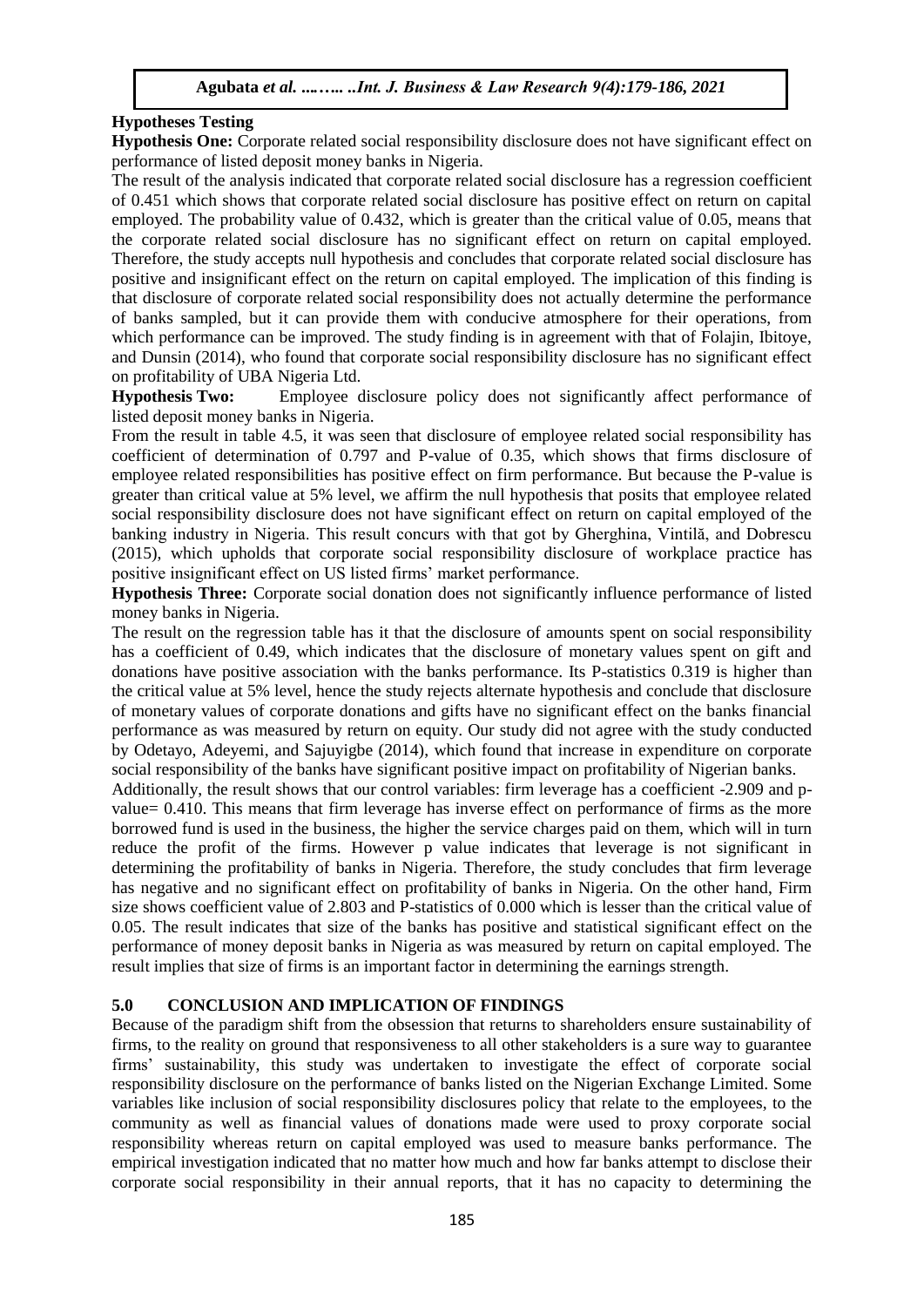# **Hypotheses Testing**

**Hypothesis One:** Corporate related social responsibility disclosure does not have significant effect on performance of listed deposit money banks in Nigeria.

The result of the analysis indicated that corporate related social disclosure has a regression coefficient of 0.451 which shows that corporate related social disclosure has positive effect on return on capital employed. The probability value of 0.432, which is greater than the critical value of 0.05, means that the corporate related social disclosure has no significant effect on return on capital employed. Therefore, the study accepts null hypothesis and concludes that corporate related social disclosure has positive and insignificant effect on the return on capital employed. The implication of this finding is that disclosure of corporate related social responsibility does not actually determine the performance of banks sampled, but it can provide them with conducive atmosphere for their operations, from which performance can be improved. The study finding is in agreement with that of Folajin, Ibitoye, and Dunsin (2014), who found that corporate social responsibility disclosure has no significant effect on profitability of UBA Nigeria Ltd.

**Hypothesis Two:** Employee disclosure policy does not significantly affect performance of listed deposit money banks in Nigeria.

From the result in table 4.5, it was seen that disclosure of employee related social responsibility has coefficient of determination of 0.797 and P-value of 0.35, which shows that firms disclosure of employee related responsibilities has positive effect on firm performance. But because the P-value is greater than critical value at 5% level, we affirm the null hypothesis that posits that employee related social responsibility disclosure does not have significant effect on return on capital employed of the banking industry in Nigeria. This result concurs with that got by Gherghina, Vintilă, and Dobrescu (2015), which upholds that corporate social responsibility disclosure of workplace practice has positive insignificant effect on US listed firms' market performance.

**Hypothesis Three:** Corporate social donation does not significantly influence performance of listed money banks in Nigeria.

The result on the regression table has it that the disclosure of amounts spent on social responsibility has a coefficient of 0.49, which indicates that the disclosure of monetary values spent on gift and donations have positive association with the banks performance. Its P-statistics 0.319 is higher than the critical value at 5% level, hence the study rejects alternate hypothesis and conclude that disclosure of monetary values of corporate donations and gifts have no significant effect on the banks financial performance as was measured by return on equity. Our study did not agree with the study conducted by Odetayo, Adeyemi, and Sajuyigbe (2014), which found that increase in expenditure on corporate social responsibility of the banks have significant positive impact on profitability of Nigerian banks.

Additionally, the result shows that our control variables: firm leverage has a coefficient -2.909 and pvalue= 0.410. This means that firm leverage has inverse effect on performance of firms as the more borrowed fund is used in the business, the higher the service charges paid on them, which will in turn reduce the profit of the firms. However p value indicates that leverage is not significant in determining the profitability of banks in Nigeria. Therefore, the study concludes that firm leverage has negative and no significant effect on profitability of banks in Nigeria. On the other hand, Firm size shows coefficient value of 2.803 and P-statistics of 0.000 which is lesser than the critical value of 0.05. The result indicates that size of the banks has positive and statistical significant effect on the performance of money deposit banks in Nigeria as was measured by return on capital employed. The result implies that size of firms is an important factor in determining the earnings strength.

# **5.0 CONCLUSION AND IMPLICATION OF FINDINGS**

Because of the paradigm shift from the obsession that returns to shareholders ensure sustainability of firms, to the reality on ground that responsiveness to all other stakeholders is a sure way to guarantee firms' sustainability, this study was undertaken to investigate the effect of corporate social responsibility disclosure on the performance of banks listed on the Nigerian Exchange Limited. Some variables like inclusion of social responsibility disclosures policy that relate to the employees, to the community as well as financial values of donations made were used to proxy corporate social responsibility whereas return on capital employed was used to measure banks performance. The empirical investigation indicated that no matter how much and how far banks attempt to disclose their corporate social responsibility in their annual reports, that it has no capacity to determining the